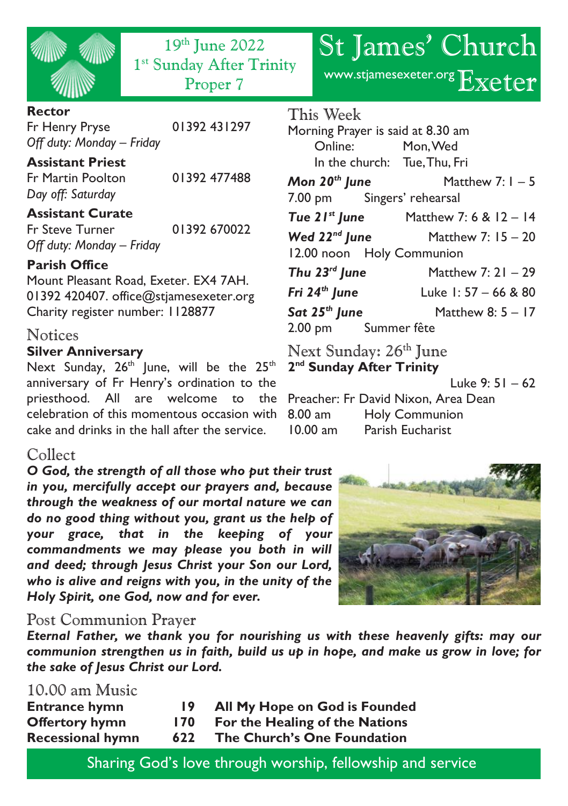| WW | 秘   |
|----|-----|
|    | WIN |

19th June 2022 1<sup>st</sup> Sunday After Trinity

#### **Rector**

Fr Henry Pryse 01392 431297 *Off duty: Monday – Friday*

#### **Assistant Priest**

Fr Martin Poolton 01392 477488 *Day off: Saturday*

### **Assistant Curate**

Fr Steve Turner 01392 670022 *Off duty: Monday – Friday*

#### **Parish Office**

Mount Pleasant Road, Exeter. EX4 7AH. 01392 420407. office@stjamesexeter.org Charity register number: 1128877

#### Notices

#### **Silver Anniversary**

Next Sunday,  $26^{th}$  June, will be the  $25^{th}$ anniversary of Fr Henry's ordination to the priesthood. All are welcome to the Preacher: Fr David Nixon, Area Dean celebration of this momentous occasion with cake and drinks in the hall after the service.

## Collect

*O God, the strength of all those who put their trust in you, mercifully accept our prayers and, because through the weakness of our mortal nature we can do no good thing without you, grant us the help of your grace, that in the keeping of your commandments we may please you both in will and deed; through Jesus Christ your Son our Lord, who is alive and reigns with you, in the unity of the Holy Spirit, one God, now and for ever.*

#### Post Communion Prayer

*Eternal Father, we thank you for nourishing us with these heavenly gifts: may our communion strengthen us in faith, build us up in hope, and make us grow in love; for the sake of Jesus Christ our Lord.*

### 10.00 am Music

| <b>Entrance hymn</b>    | 19  | All My Hope on God is Founded  |
|-------------------------|-----|--------------------------------|
| <b>Offertory hymn</b>   | 170 | For the Healing of the Nations |
| <b>Recessional hymn</b> | 622 | The Church's One Foundation    |

|  |  | Sharing God's love through worship, fellowship and service |  |
|--|--|------------------------------------------------------------|--|
|  |  |                                                            |  |

# St James' Church

Proper 7 www.stjamesexeter.org Exeter

# This Week Morning Prayer is said at 8.30 am Online: Mon, Wed In the church: Tue, Thu, Fri *Mon 20th June* Matthew 7: 1 – 5 7.00 pm Singers' rehearsal *Tue 21st June* Matthew 7: 6 & 12 – 14 *Wed 22nd June* Matthew 7: 15 – 20 12.00 noon Holy Communion *Thu 23rd June* Matthew 7: 21 – 29 *Fri 24th June* Luke 1: 57 – 66 & 80 *Sat 25th June* Matthew 8: 5 – 17 2.00 pm Summer fête

Next Sunday: 26<sup>th</sup> June **2 nd Sunday After Trinity** Luke 9: 51 – 62 8.00 am Holy Communion 10.00 am Parish Eucharist